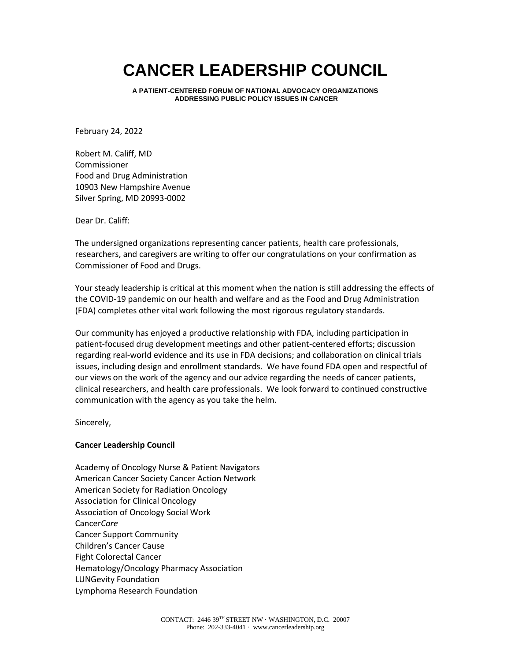## **CANCER LEADERSHIP COUNCIL**

**A PATIENT-CENTERED FORUM OF NATIONAL ADVOCACY ORGANIZATIONS ADDRESSING PUBLIC POLICY ISSUES IN CANCER**

February 24, 2022

Robert M. Califf, MD Commissioner Food and Drug Administration 10903 New Hampshire Avenue Silver Spring, MD 20993-0002

Dear Dr. Califf:

The undersigned organizations representing cancer patients, health care professionals, researchers, and caregivers are writing to offer our congratulations on your confirmation as Commissioner of Food and Drugs.

Your steady leadership is critical at this moment when the nation is still addressing the effects of the COVID-19 pandemic on our health and welfare and as the Food and Drug Administration (FDA) completes other vital work following the most rigorous regulatory standards.

Our community has enjoyed a productive relationship with FDA, including participation in patient-focused drug development meetings and other patient-centered efforts; discussion regarding real-world evidence and its use in FDA decisions; and collaboration on clinical trials issues, including design and enrollment standards. We have found FDA open and respectful of our views on the work of the agency and our advice regarding the needs of cancer patients, clinical researchers, and health care professionals. We look forward to continued constructive communication with the agency as you take the helm.

Sincerely,

## **Cancer Leadership Council**

Academy of Oncology Nurse & Patient Navigators American Cancer Society Cancer Action Network American Society for Radiation Oncology Association for Clinical Oncology Association of Oncology Social Work Cancer*Care* Cancer Support Community Children's Cancer Cause Fight Colorectal Cancer Hematology/Oncology Pharmacy Association LUNGevity Foundation Lymphoma Research Foundation